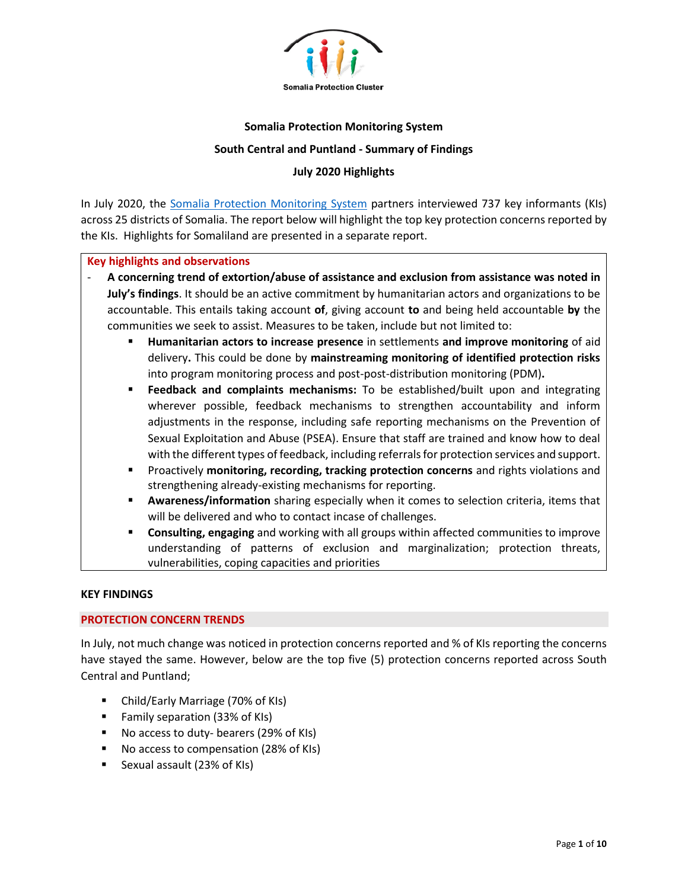

### **Somalia Protection Monitoring System**

#### **South Central and Puntland - Summary of Findings**

### **July 2020 Highlights**

In July 2020, the [Somalia Protection Monitoring System](https://www.protection.drchub.org/) partners interviewed 737 key informants (KIs) across 25 districts of Somalia. The report below will highlight the top key protection concerns reported by the KIs. Highlights for Somaliland are presented in a separate report.

#### **Key highlights and observations**

- **A concerning trend of extortion/abuse of assistance and exclusion from assistance was noted in July's findings**. It should be an active commitment by humanitarian actors and organizations to be accountable. This entails taking account **of**, giving account **to** and being held accountable **by** the communities we seek to assist. Measures to be taken, include but not limited to:
	- **Humanitarian actors to increase presence** in settlements **and improve monitoring** of aid delivery**.** This could be done by **mainstreaming monitoring of identified protection risks**  into program monitoring process and post-post-distribution monitoring (PDM)**.**
	- **Feedback and complaints mechanisms:** To be established/built upon and integrating wherever possible, feedback mechanisms to strengthen accountability and inform adjustments in the response, including safe reporting mechanisms on the Prevention of Sexual Exploitation and Abuse (PSEA). Ensure that staff are trained and know how to deal with the different types of feedback, including referrals for protection services and support.
	- Proactively **monitoring, recording, tracking protection concerns** and rights violations and strengthening already-existing mechanisms for reporting.
	- Awareness/information sharing especially when it comes to selection criteria, items that will be delivered and who to contact incase of challenges.
	- **Consulting, engaging** and working with all groups within affected communities to improve understanding of patterns of exclusion and marginalization; protection threats, vulnerabilities, coping capacities and priorities

### **KEY FINDINGS**

### **PROTECTION CONCERN TRENDS**

In July, not much change was noticed in protection concerns reported and % of KIs reporting the concerns have stayed the same. However, below are the top five (5) protection concerns reported across South Central and Puntland;

- Child/Early Marriage (70% of KIs)
- Family separation (33% of KIs)
- No access to duty- bearers (29% of KIs)
- No access to compensation (28% of KIs)
- Sexual assault (23% of KIs)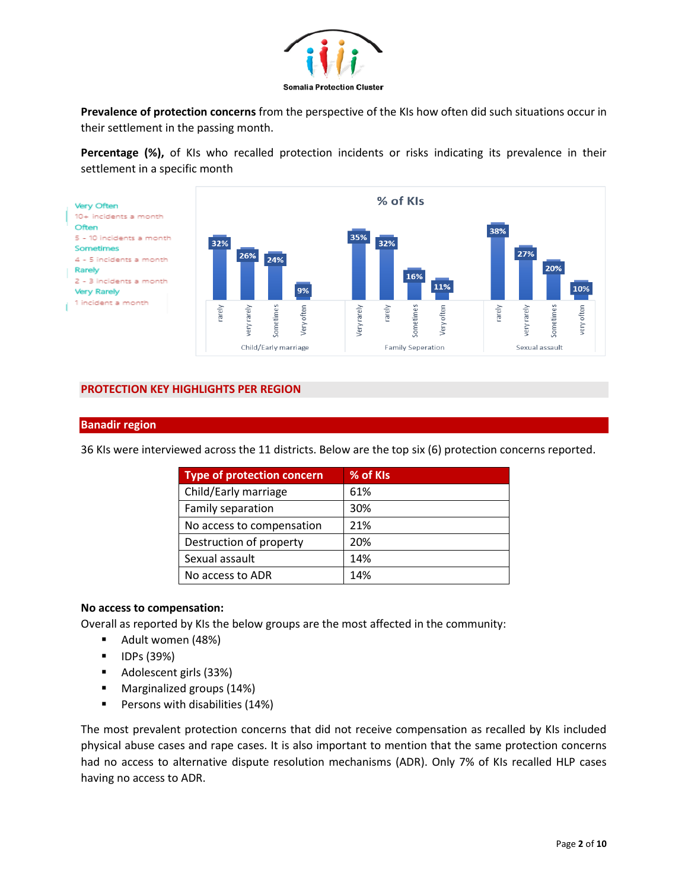

**Prevalence of protection concerns** from the perspective of the KIs how often did such situations occur in their settlement in the passing month.

**Percentage (%),** of KIs who recalled protection incidents or risks indicating its prevalence in their settlement in a specific month



## **PROTECTION KEY HIGHLIGHTS PER REGION**

#### **Banadir region**

36 KIs were interviewed across the 11 districts. Below are the top six (6) protection concerns reported.

| <b>Type of protection concern</b> | % of KIs |
|-----------------------------------|----------|
| Child/Early marriage              | 61%      |
| Family separation                 | 30%      |
| No access to compensation         | 21%      |
| Destruction of property           | 20%      |
| Sexual assault                    | 14%      |
| No access to ADR                  | 14%      |

### **No access to compensation:**

Overall as reported by KIs the below groups are the most affected in the community:

- Adult women (48%)
- IDPs (39%)
- Adolescent girls (33%)
- Marginalized groups (14%)
- Persons with disabilities (14%)

The most prevalent protection concerns that did not receive compensation as recalled by KIs included physical abuse cases and rape cases. It is also important to mention that the same protection concerns had no access to alternative dispute resolution mechanisms (ADR). Only 7% of KIs recalled HLP cases having no access to ADR.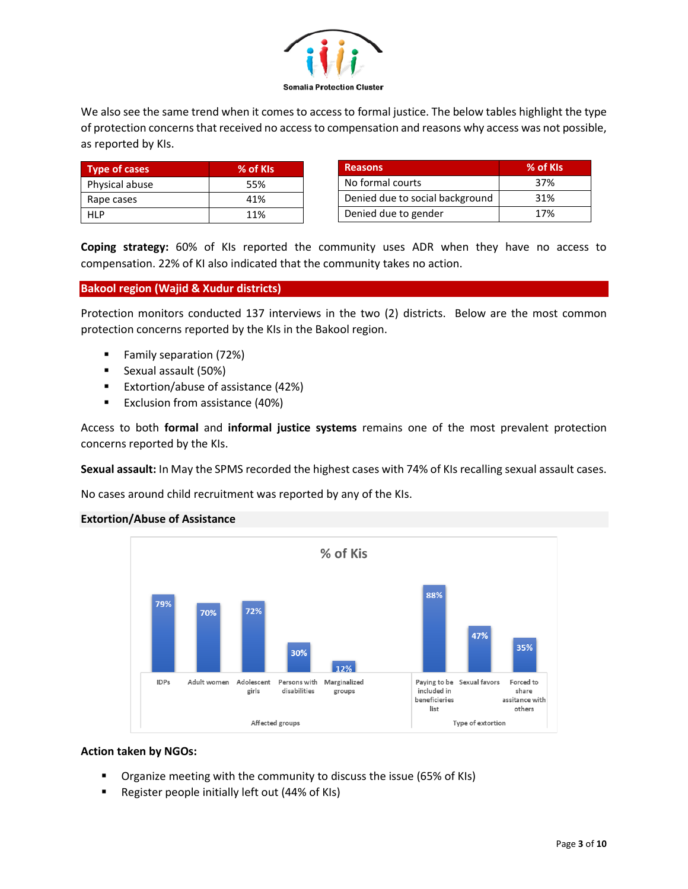

We also see the same trend when it comes to access to formal justice. The below tables highlight the type of protection concerns that received no access to compensation and reasons why access was not possible, as reported by KIs.

| <b>Type of cases</b> | % of KIs |
|----------------------|----------|
| Physical abuse       | 55%      |
| Rape cases           | 41%      |
| HI P                 | 11%      |

| <b>Reasons</b>                  | % of KIs |
|---------------------------------|----------|
| No formal courts                | 37%      |
| Denied due to social background | 31%      |
| Denied due to gender            | 17%      |

**Coping strategy:** 60% of KIs reported the community uses ADR when they have no access to compensation. 22% of KI also indicated that the community takes no action.

## **Bakool region (Wajid & Xudur districts)**

Protection monitors conducted 137 interviews in the two (2) districts. Below are the most common protection concerns reported by the KIs in the Bakool region.

- Family separation (72%)
- Sexual assault (50%)
- Extortion/abuse of assistance (42%)
- Exclusion from assistance (40%)

Access to both **formal** and **informal justice systems** remains one of the most prevalent protection concerns reported by the KIs.

**Sexual assault:** In May the SPMS recorded the highest cases with 74% of KIs recalling sexual assault cases.

No cases around child recruitment was reported by any of the KIs.

## **Extortion/Abuse of Assistance**



### **Action taken by NGOs:**

- Organize meeting with the community to discuss the issue (65% of KIs)
- Register people initially left out (44% of KIs)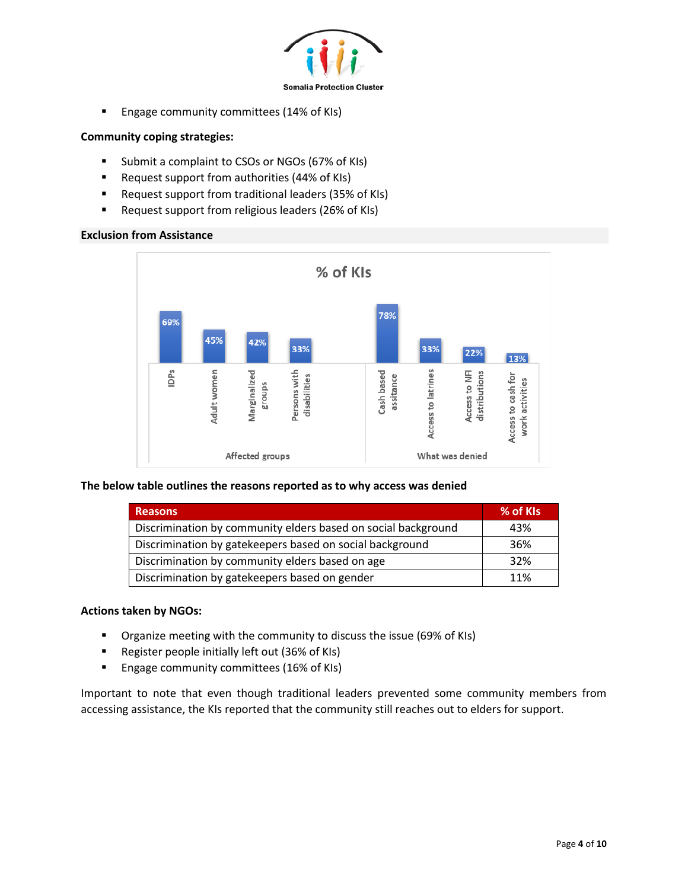

■ Engage community committees (14% of KIs)

## **Community coping strategies:**

- Submit a complaint to CSOs or NGOs (67% of KIs)
- Request support from authorities (44% of KIs)
- Request support from traditional leaders (35% of KIs)
- Request support from religious leaders (26% of KIs)

## **Exclusion from Assistance**



### **The below table outlines the reasons reported as to why access was denied**

| <b>Reasons</b>                                                | % of KIs |
|---------------------------------------------------------------|----------|
| Discrimination by community elders based on social background | 43%      |
| Discrimination by gatekeepers based on social background      | 36%      |
| Discrimination by community elders based on age               | 32%      |
| Discrimination by gatekeepers based on gender                 | 11%      |

### **Actions taken by NGOs:**

- Organize meeting with the community to discuss the issue (69% of KIs)
- Register people initially left out (36% of KIs)
- Engage community committees (16% of KIs)

Important to note that even though traditional leaders prevented some community members from accessing assistance, the KIs reported that the community still reaches out to elders for support.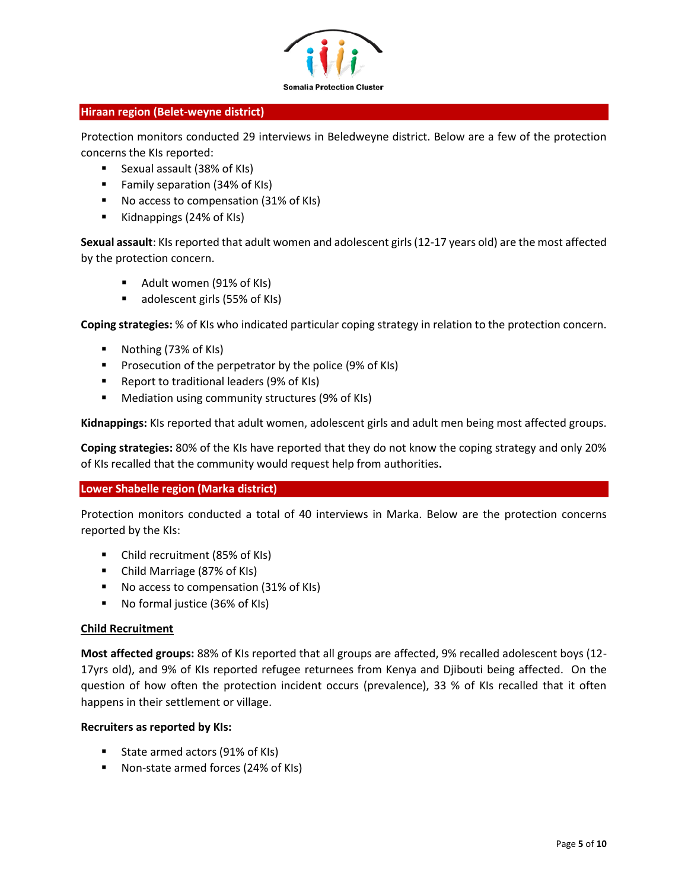

### **Hiraan region (Belet-weyne district)**

Protection monitors conducted 29 interviews in Beledweyne district. Below are a few of the protection concerns the KIs reported:

- Sexual assault (38% of KIs)
- Family separation (34% of KIs)
- No access to compensation (31% of KIs)
- Kidnappings (24% of KIs)

**Sexual assault**: KIs reported that adult women and adolescent girls (12-17 years old) are the most affected by the protection concern.

- Adult women (91% of KIs)
- adolescent girls (55% of KIs)

**Coping strategies:** % of KIs who indicated particular coping strategy in relation to the protection concern.

- Nothing (73% of KIs)
- Prosecution of the perpetrator by the police (9% of KIs)
- Report to traditional leaders (9% of KIs)
- Mediation using community structures (9% of KIs)

**Kidnappings:** KIs reported that adult women, adolescent girls and adult men being most affected groups.

**Coping strategies:** 80% of the KIs have reported that they do not know the coping strategy and only 20% of KIs recalled that the community would request help from authorities**.** 

## **Lower Shabelle region (Marka district)**

Protection monitors conducted a total of 40 interviews in Marka. Below are the protection concerns reported by the KIs:

- Child recruitment (85% of KIs)
- Child Marriage (87% of KIs)
- No access to compensation (31% of KIs)
- No formal justice (36% of KIs)

### **Child Recruitment**

**Most affected groups:** 88% of KIs reported that all groups are affected, 9% recalled adolescent boys (12- 17yrs old), and 9% of KIs reported refugee returnees from Kenya and Djibouti being affected. On the question of how often the protection incident occurs (prevalence), 33 % of KIs recalled that it often happens in their settlement or village.

### **Recruiters as reported by KIs:**

- State armed actors (91% of KIs)
- Non-state armed forces (24% of KIs)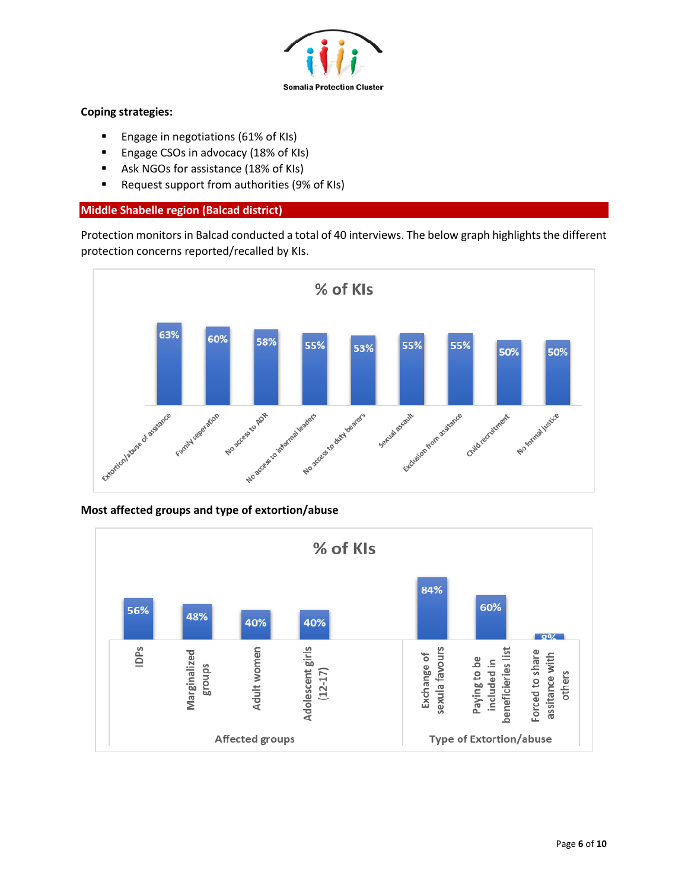

## **Coping strategies:**

- Engage in negotiations (61% of KIs)
- Engage CSOs in advocacy (18% of KIs)
- Ask NGOs for assistance (18% of KIs)
- Request support from authorities (9% of KIs)

## **Middle Shabelle region (Balcad district)**

Protection monitors in Balcad conducted a total of 40 interviews. The below graph highlights the different protection concerns reported/recalled by KIs.



## **Most affected groups and type of extortion/abuse**

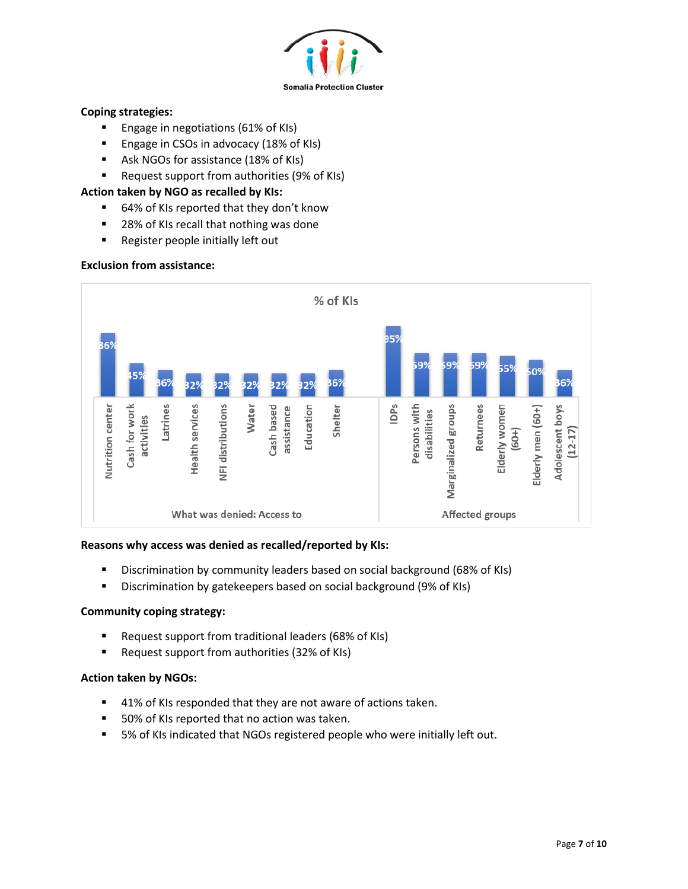

## **Coping strategies:**

- Engage in negotiations (61% of KIs)
- Engage in CSOs in advocacy (18% of KIs)
- Ask NGOs for assistance (18% of KIs)
- Request support from authorities (9% of KIs)

## **Action taken by NGO as recalled by KIs:**

- 64% of KIs reported that they don't know
- 28% of KIs recall that nothing was done
- Register people initially left out

## **Exclusion from assistance:**



### **Reasons why access was denied as recalled/reported by KIs:**

- Discrimination by community leaders based on social background (68% of KIs)
- Discrimination by gatekeepers based on social background (9% of KIs)

## **Community coping strategy:**

- Request support from traditional leaders (68% of KIs)
- Request support from authorities (32% of KIs)

### **Action taken by NGOs:**

- 41% of KIs responded that they are not aware of actions taken.
- 50% of KIs reported that no action was taken.
- 5% of KIs indicated that NGOs registered people who were initially left out.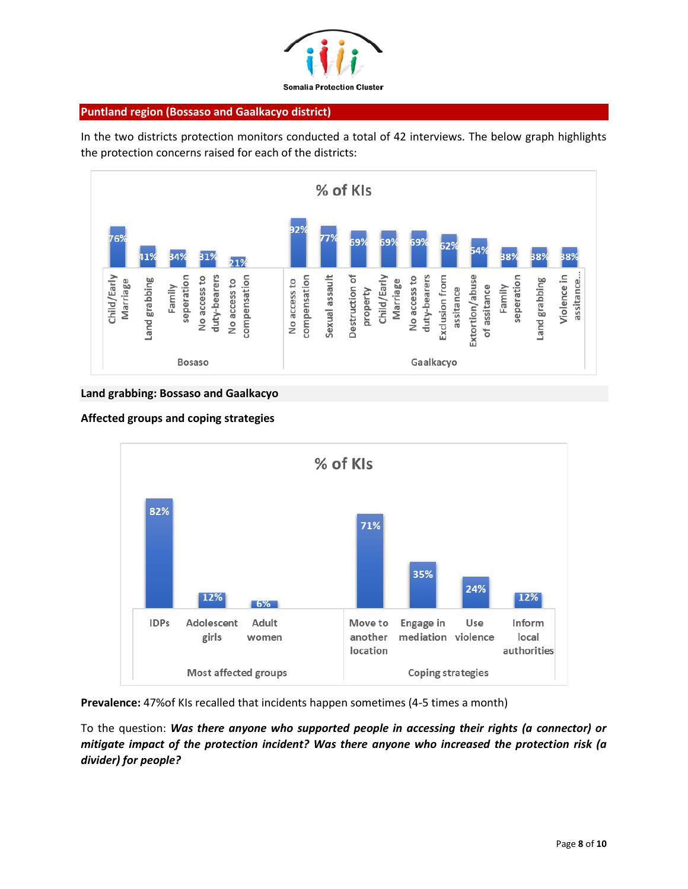

### **Puntland region (Bossaso and Gaalkacyo district)**

In the two districts protection monitors conducted a total of 42 interviews. The below graph highlights the protection concerns raised for each of the districts:



## **Land grabbing: Bossaso and Gaalkacyo**



### **Affected groups and coping strategies**

**Prevalence:** 47%of KIs recalled that incidents happen sometimes (4-5 times a month)

To the question: *Was there anyone who supported people in accessing their rights (a connector) or mitigate impact of the protection incident? Was there anyone who increased the protection risk (a divider) for people?*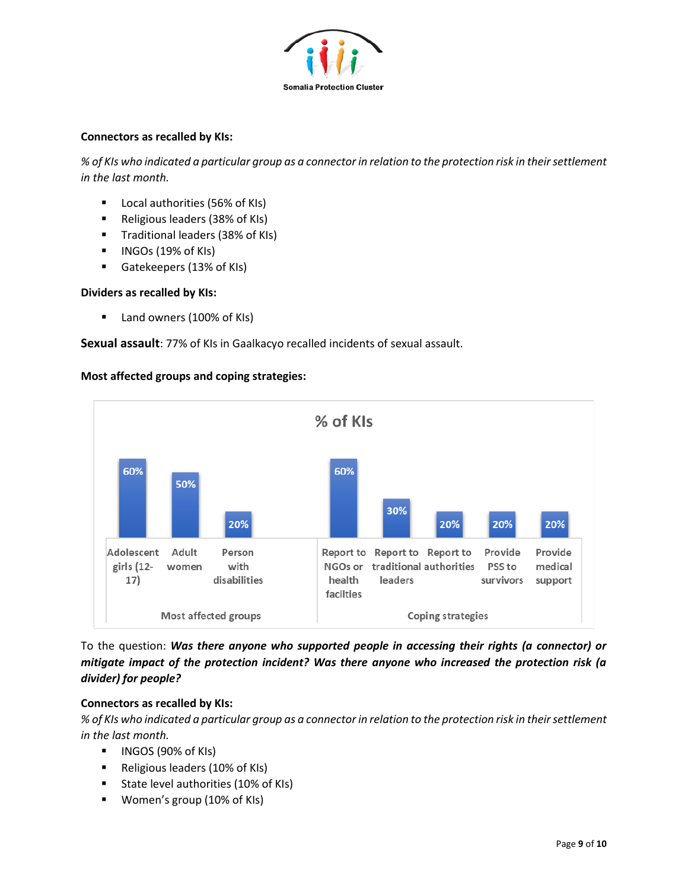

## **Connectors as recalled by KIs:**

*% of KIs who indicated a particular group as a connector in relation to the protection risk in their settlement in the last month.*

- Local authorities (56% of KIs)
- Religious leaders (38% of KIs)
- Traditional leaders (38% of KIs)
- INGOs (19% of KIs)
- Gatekeepers (13% of KIs)

## **Dividers as recalled by KIs:**

■ Land owners (100% of KIs)

**Sexual assault**: 77% of KIs in Gaalkacyo recalled incidents of sexual assault.



**Most affected groups and coping strategies:**

To the question: *Was there anyone who supported people in accessing their rights (a connector) or mitigate impact of the protection incident? Was there anyone who increased the protection risk (a divider) for people?* 

# **Connectors as recalled by KIs:**

*% of KIs who indicated a particular group as a connector in relation to the protection risk in their settlement in the last month.*

- INGOS (90% of KIs)
- Religious leaders (10% of KIs)
- State level authorities (10% of KIs)
- Women's group (10% of KIs)